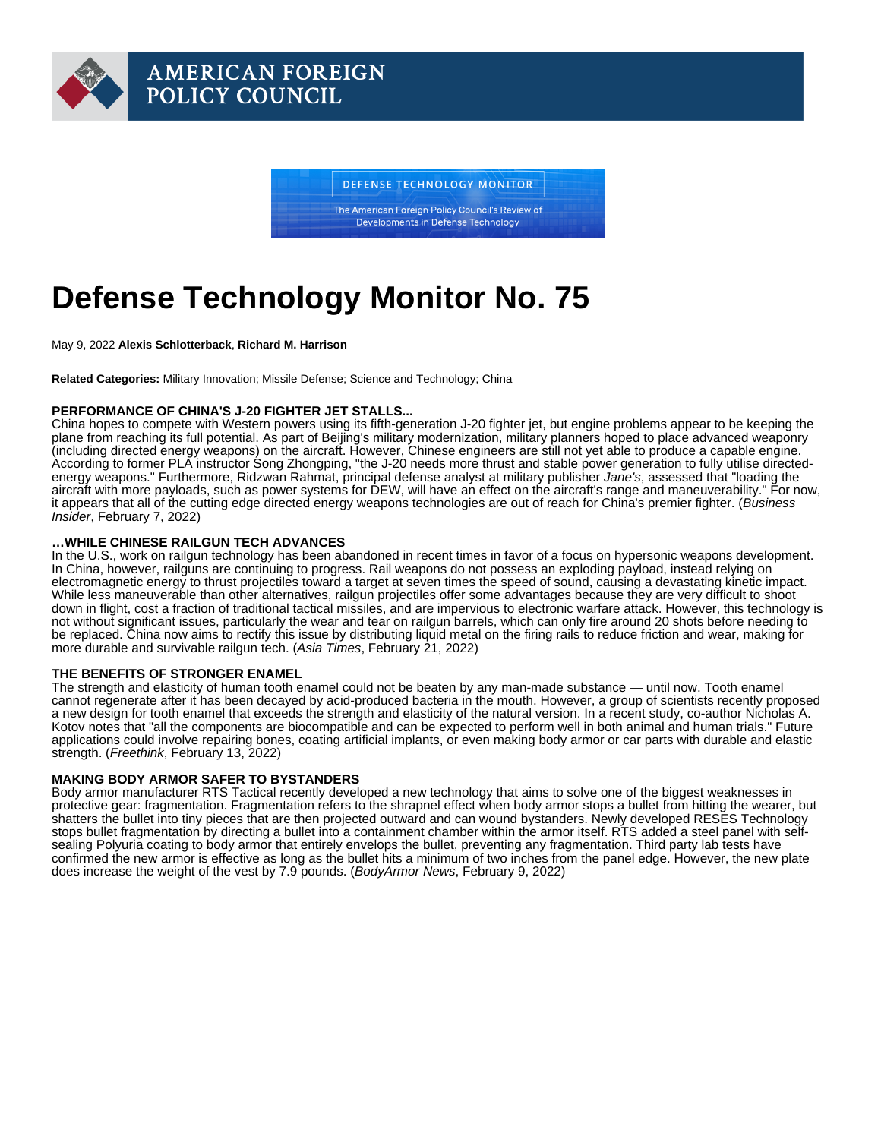# Defense Technology Monitor No. 75

May 9, 2022 Alexis Schlotterback , Richard M. Harrison

Related Categories: Military Innovation; Missile Defense; Science and Technology; China

## PERFORMANCE OF CHINA'S J-20 FIGHTER JET STALLS...

China hopes to compete with Western powers using its fifth-generation J-20 fighter jet, but engine problems appear to be keeping the plane from reaching its full potential. As part of Beijing's military modernization, military planners hoped to place advanced weaponry (including directed energy weapons) on the aircraft. However, Chinese engineers are still not yet able to produce a capable engine. According to former PLA instructor Song Zhongping, "the J-20 needs more thrust and stable power generation to fully utilise directedenergy weapons." Furthermore, Ridzwan Rahmat, principal defense analyst at military publisher Jane's, assessed that "loading the aircraft with more payloads, such as power systems for DEW, will have an effect on the aircraft's range and maneuverability." For now, it appears that all of the cutting edge directed energy weapons technologies are out of reach for China's premier fighter. [\(Business](https://www.businessinsider.com/engines-may-limit-directed-energy-weapons-on-china-j20-fighter-2022-2)  [Insider](https://www.businessinsider.com/engines-may-limit-directed-energy-weapons-on-china-j20-fighter-2022-2), February 7, 2022)

## …WHILE CHINESE RAILGUN TECH ADVANCES

In the U.S., work on railgun technology has been abandoned in recent times in favor of a focus on hypersonic weapons development. In China, however, railguns are continuing to progress. Rail weapons do not possess an exploding payload, instead relying on electromagnetic energy to thrust projectiles toward a target at seven times the speed of sound, causing a devastating kinetic impact. While less maneuverable than other alternatives, railgun projectiles offer some advantages because they are very difficult to shoot down in flight, cost a fraction of traditional tactical missiles, and are impervious to electronic warfare attack. However, this technology is not without significant issues, particularly the wear and tear on railgun barrels, which can only fire around 20 shots before needing to be replaced. China now aims to rectify this issue by distributing liquid metal on the firing rails to reduce friction and wear, making for more durable and survivable railgun tech. ([Asia Times](https://asiatimes.com/2022/02/chinas-railgun-tech-on-a-surprising-fast-track/), February 21, 2022)

#### THE BENEFITS OF STRONGER ENAMEL

The strength and elasticity of human tooth enamel could not be beaten by any man-made substance — until now. Tooth enamel cannot regenerate after it has been decayed by acid-produced bacteria in the mouth. However, a group of scientists recently proposed a new design for tooth enamel that exceeds the strength and elasticity of the natural version. In a recent study, co-author Nicholas A. Kotov notes that "all the components are biocompatible and can be expected to perform well in both animal and human trials." Future applications could involve repairing bones, coating artificial implants, or even making body armor or car parts with durable and elastic strength. ([Freethink](https://www.freethink.com/science/tooth-enamel), February 13, 2022)

## MAKING BODY ARMOR SAFER TO BYSTANDERS

Body armor manufacturer RTS Tactical recently developed a new technology that aims to solve one of the biggest weaknesses in protective gear: fragmentation. Fragmentation refers to the shrapnel effect when body armor stops a bullet from hitting the wearer, but shatters the bullet into tiny pieces that are then projected outward and can wound bystanders. Newly developed RESES Technology stops bullet fragmentation by directing a bullet into a containment chamber within the armor itself. RTS added a steel panel with selfsealing Polyuria coating to body armor that entirely envelops the bullet, preventing any fragmentation. Third party lab tests have confirmed the new armor is effective as long as the bullet hits a minimum of two inches from the panel edge. However, the new plate does increase the weight of the vest by 7.9 pounds. ([BodyArmor News,](https://www.bodyarmornews.com/rts-steel-armor/) February 9, 2022)